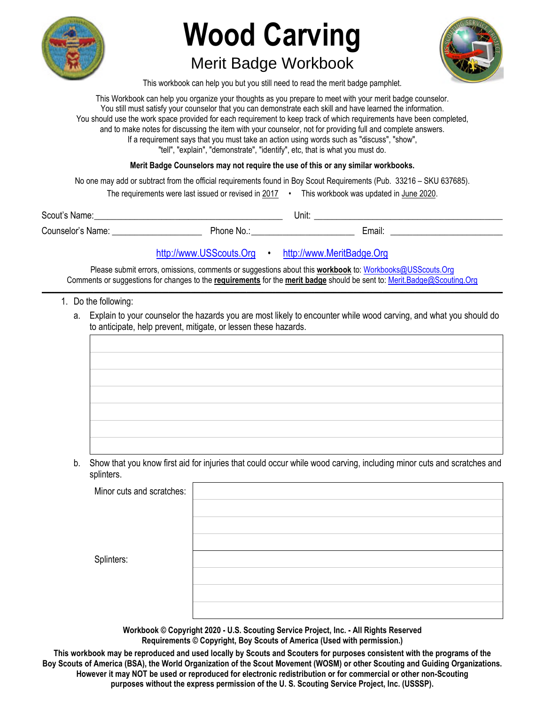

# **Wood Carving**

## Merit Badge Workbook



This workbook can help you but you still need to read the merit badge pamphlet.

This Workbook can help you organize your thoughts as you prepare to meet with your merit badge counselor. You still must satisfy your counselor that you can demonstrate each skill and have learned the information. You should use the work space provided for each requirement to keep track of which requirements have been completed, and to make notes for discussing the item with your counselor, not for providing full and complete answers. If a requirement says that you must take an action using words such as "discuss", "show", "tell", "explain", "demonstrate", "identify", etc, that is what you must do.

**Merit Badge Counselors may not require the use of this or any similar workbooks.**

No one may add or subtract from the official requirements found in Boy Scout Requirements (Pub. 33216 – SKU 637685).

| The requirements were last issued or revised in 2017 |  | This workbook was updated in June 2020. |
|------------------------------------------------------|--|-----------------------------------------|
|------------------------------------------------------|--|-----------------------------------------|

| Scout's Name:     |          | Unit: |        |
|-------------------|----------|-------|--------|
| Counselor's Name: | Phone No |       | -mail. |

### http://www.USScouts.Org • http://www.MeritBadge.Org

Please submit errors, omissions, comments or suggestions about this **workbook** to: Workbooks@USScouts.Org Comments or suggestions for changes to the **requirements** for the **merit badge** should be sent to: Merit.Badge@Scouting.Org *\_\_\_\_\_\_\_\_\_\_\_\_\_\_\_\_\_\_\_\_\_\_\_\_\_\_\_\_\_\_\_\_\_\_\_\_\_\_\_\_\_\_\_\_\_\_\_\_\_\_\_\_\_\_\_\_\_\_\_\_\_\_\_\_\_\_\_\_\_\_\_\_\_\_\_\_\_\_\_\_\_\_\_\_\_\_\_\_\_\_\_\_\_\_\_\_\_\_\_\_\_\_\_\_\_\_\_\_\_\_\_\_\_\_\_\_\_\_\_\_\_\_\_\_\_\_\_\_\_\_\_\_\_\_\_\_\_\_\_\_\_\_* 

- 1. Do the following:
	- a. Explain to your counselor the hazards you are most likely to encounter while wood carving, and what you should do to anticipate, help prevent, mitigate, or lessen these hazards.

- b. Show that you know first aid for injuries that could occur while wood carving, including minor cuts and scratches and
- splinters.

| Minor cuts and scratches: |  |
|---------------------------|--|
|                           |  |
|                           |  |
|                           |  |
| Splinters:                |  |
|                           |  |
|                           |  |
|                           |  |

**Workbook © Copyright 2020 - U.S. Scouting Service Project, Inc. - All Rights Reserved Requirements © Copyright, Boy Scouts of America (Used with permission.)** 

**This workbook may be reproduced and used locally by Scouts and Scouters for purposes consistent with the programs of the Boy Scouts of America (BSA), the World Organization of the Scout Movement (WOSM) or other Scouting and Guiding Organizations. However it may NOT be used or reproduced for electronic redistribution or for commercial or other non-Scouting purposes without the express permission of the U. S. Scouting Service Project, Inc. (USSSP).**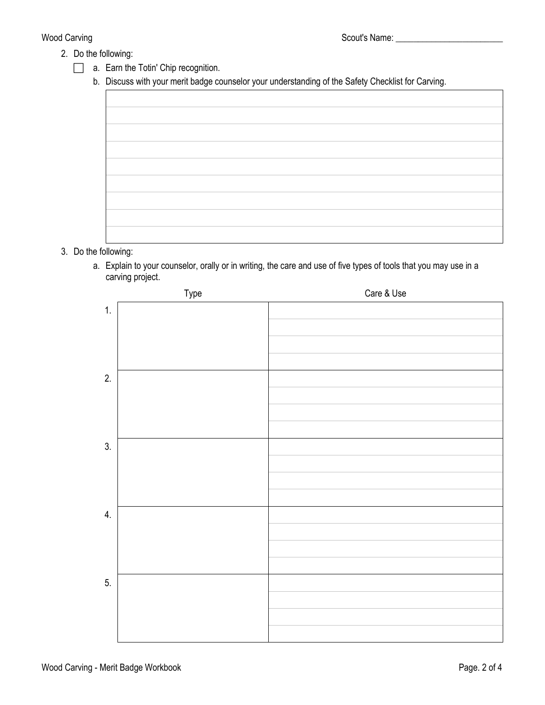- 2. Do the following:
	- **a.** Earn the Totin' Chip recognition.
		- b. Discuss with your merit badge counselor your understanding of the Safety Checklist for Carving.

- 3. Do the following:
	- a. Explain to your counselor, orally or in writing, the care and use of five types of tools that you may use in a carving project.

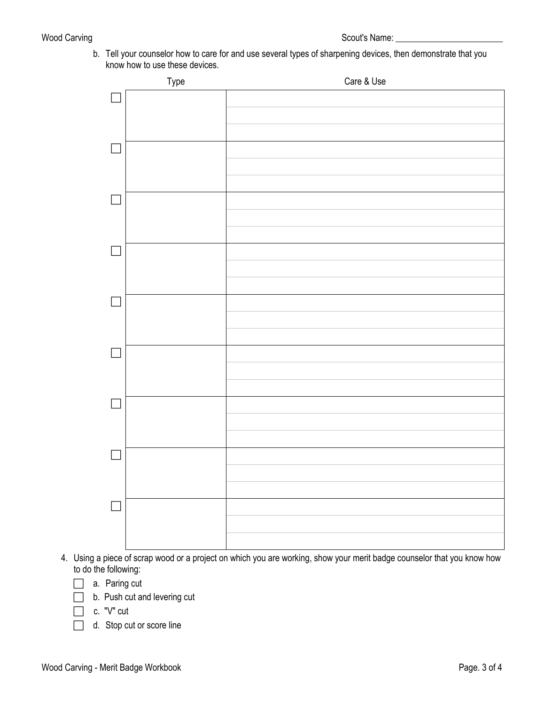b. Tell your counselor how to care for and use several types of sharpening devices, then demonstrate that you know how to use these devices.



- 4. Using a piece of scrap wood or a project on which you are working, show your merit badge counselor that you know how to do the following:
	- a. Paring cut
	- **b.** Push cut and levering cut
	- $\Box$  c. "V" cut
	- d. Stop cut or score line